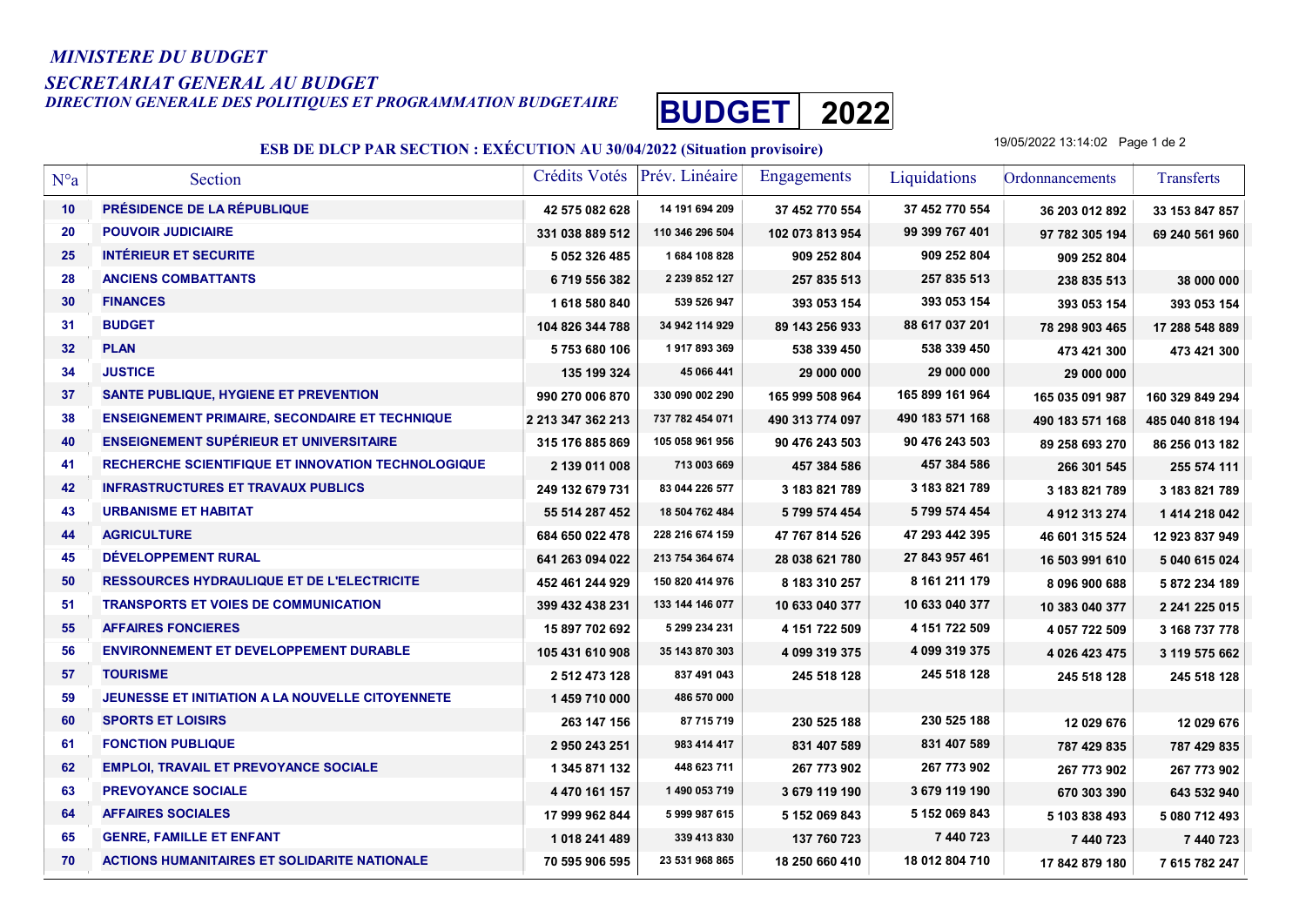## MINISTERE DU BUDGET

## SECRETARIAT GENERAL AU BUDGET

DIRECTION GENERALE DES POLITIQUES ET PROGRAMMATION BUDGETAIRE BUDGET 2022



## ESB DE DLCP PAR SECTION : EXÉCUTION AU 30/04/2022 (Situation provisoire)

19/05/2022 13:14:02 Page 1 de 2

| $N^{\circ}a$ | Section                                                   | Crédits Votés     | Prév. Linéaire  | <b>Engagements</b> | Liquidations    | Ordonnancements | Transferts      |
|--------------|-----------------------------------------------------------|-------------------|-----------------|--------------------|-----------------|-----------------|-----------------|
| 10           | <b>PRÉSIDENCE DE LA RÉPUBLIQUE</b>                        | 42 575 082 628    | 14 191 694 209  | 37 452 770 554     | 37 452 770 554  | 36 203 012 892  | 33 153 847 857  |
| 20           | <b>POUVOIR JUDICIAIRE</b>                                 | 331 038 889 512   | 110 346 296 504 | 102 073 813 954    | 99 399 767 401  | 97 782 305 194  | 69 240 561 960  |
| 25           | <b>INTÉRIEUR ET SECURITE</b>                              | 5 052 326 485     | 1684 108 828    | 909 252 804        | 909 252 804     | 909 252 804     |                 |
| 28           | <b>ANCIENS COMBATTANTS</b>                                | 6719556382        | 2 239 852 127   | 257 835 513        | 257 835 513     | 238 835 513     | 38 000 000      |
| 30           | <b>FINANCES</b>                                           | 1618580840        | 539 526 947     | 393 053 154        | 393 053 154     | 393 053 154     | 393 053 154     |
| 31           | <b>BUDGET</b>                                             | 104 826 344 788   | 34 942 114 929  | 89 143 256 933     | 88 617 037 201  | 78 298 903 465  | 17 288 548 889  |
| 32           | <b>PLAN</b>                                               | 5753680106        | 1917893369      | 538 339 450        | 538 339 450     | 473 421 300     | 473 421 300     |
| 34           | <b>JUSTICE</b>                                            | 135 199 324       | 45 066 441      | 29 000 000         | 29 000 000      | 29 000 000      |                 |
| 37           | SANTE PUBLIQUE, HYGIENE ET PREVENTION                     | 990 270 006 870   | 330 090 002 290 | 165 999 508 964    | 165 899 161 964 | 165 035 091 987 | 160 329 849 294 |
| 38           | <b>ENSEIGNEMENT PRIMAIRE, SECONDAIRE ET TECHNIQUE</b>     | 2 213 347 362 213 | 737 782 454 071 | 490 313 774 097    | 490 183 571 168 | 490 183 571 168 | 485 040 818 194 |
| 40           | <b>ENSEIGNEMENT SUPÉRIEUR ET UNIVERSITAIRE</b>            | 315 176 885 869   | 105 058 961 956 | 90 476 243 503     | 90 476 243 503  | 89 258 693 270  | 86 256 013 182  |
| 41           | <b>RECHERCHE SCIENTIFIQUE ET INNOVATION TECHNOLOGIQUE</b> | 2 139 011 008     | 713 003 669     | 457 384 586        | 457 384 586     | 266 301 545     | 255 574 111     |
| 42           | <b>INFRASTRUCTURES ET TRAVAUX PUBLICS</b>                 | 249 132 679 731   | 83 044 226 577  | 3 183 821 789      | 3 183 821 789   | 3 183 821 789   | 3 183 821 789   |
| 43           | <b>URBANISME ET HABITAT</b>                               | 55 514 287 452    | 18 504 762 484  | 5 799 574 454      | 5799 574 454    | 4912313274      | 1 414 218 042   |
| 44           | <b>AGRICULTURE</b>                                        | 684 650 022 478   | 228 216 674 159 | 47 767 814 526     | 47 293 442 395  | 46 601 315 524  | 12 923 837 949  |
| 45           | DÉVELOPPEMENT RURAL                                       | 641 263 094 022   | 213 754 364 674 | 28 038 621 780     | 27 843 957 461  | 16 503 991 610  | 5 040 615 024   |
| 50           | RESSOURCES HYDRAULIQUE ET DE L'ELECTRICITE                | 452 461 244 929   | 150 820 414 976 | 8 183 310 257      | 8 161 211 179   | 8 096 900 688   | 5 872 234 189   |
| 51           | TRANSPORTS ET VOIES DE COMMUNICATION                      | 399 432 438 231   | 133 144 146 077 | 10 633 040 377     | 10 633 040 377  | 10 383 040 377  | 2 241 225 015   |
| 55           | <b>AFFAIRES FONCIERES</b>                                 | 15 897 702 692    | 5 299 234 231   | 4 151 722 509      | 4 151 722 509   | 4 057 722 509   | 3 168 737 778   |
| 56           | <b>ENVIRONNEMENT ET DEVELOPPEMENT DURABLE</b>             | 105 431 610 908   | 35 143 870 303  | 4 099 319 375      | 4 099 319 375   | 4 026 423 475   | 3 119 575 662   |
| 57           | <b>TOURISME</b>                                           | 2 512 473 128     | 837 491 043     | 245 518 128        | 245 518 128     | 245 518 128     | 245 518 128     |
| 59           | <b>JEUNESSE ET INITIATION A LA NOUVELLE CITOYENNETE</b>   | 1459710000        | 486 570 000     |                    |                 |                 |                 |
| 60           | <b>SPORTS ET LOISIRS</b>                                  | 263 147 156       | 87 715 719      | 230 525 188        | 230 525 188     | 12 029 676      | 12 029 676      |
| 61           | <b>FONCTION PUBLIQUE</b>                                  | 2 950 243 251     | 983 414 417     | 831 407 589        | 831 407 589     | 787 429 835     | 787 429 835     |
| 62           | <b>EMPLOI, TRAVAIL ET PREVOYANCE SOCIALE</b>              | 1 345 871 132     | 448 623 711     | 267 773 902        | 267 773 902     | 267 773 902     | 267 773 902     |
| 63           | <b>PREVOYANCE SOCIALE</b>                                 | 4 470 161 157     | 1 490 053 719   | 3 679 119 190      | 3 679 119 190   | 670 303 390     | 643 532 940     |
| 64           | <b>AFFAIRES SOCIALES</b>                                  | 17 999 962 844    | 5 999 987 615   | 5 152 069 843      | 5 152 069 843   | 5 103 838 493   | 5 080 712 493   |
| 65           | <b>GENRE, FAMILLE ET ENFANT</b>                           | 1 018 241 489     | 339 413 830     | 137 760 723        | 7 440 723       | 7 440 723       | 7 440 723       |
| 70           | <b>ACTIONS HUMANITAIRES ET SOLIDARITE NATIONALE</b>       | 70 595 906 595    | 23 531 968 865  | 18 250 660 410     | 18 012 804 710  | 17 842 879 180  | 7 615 782 247   |